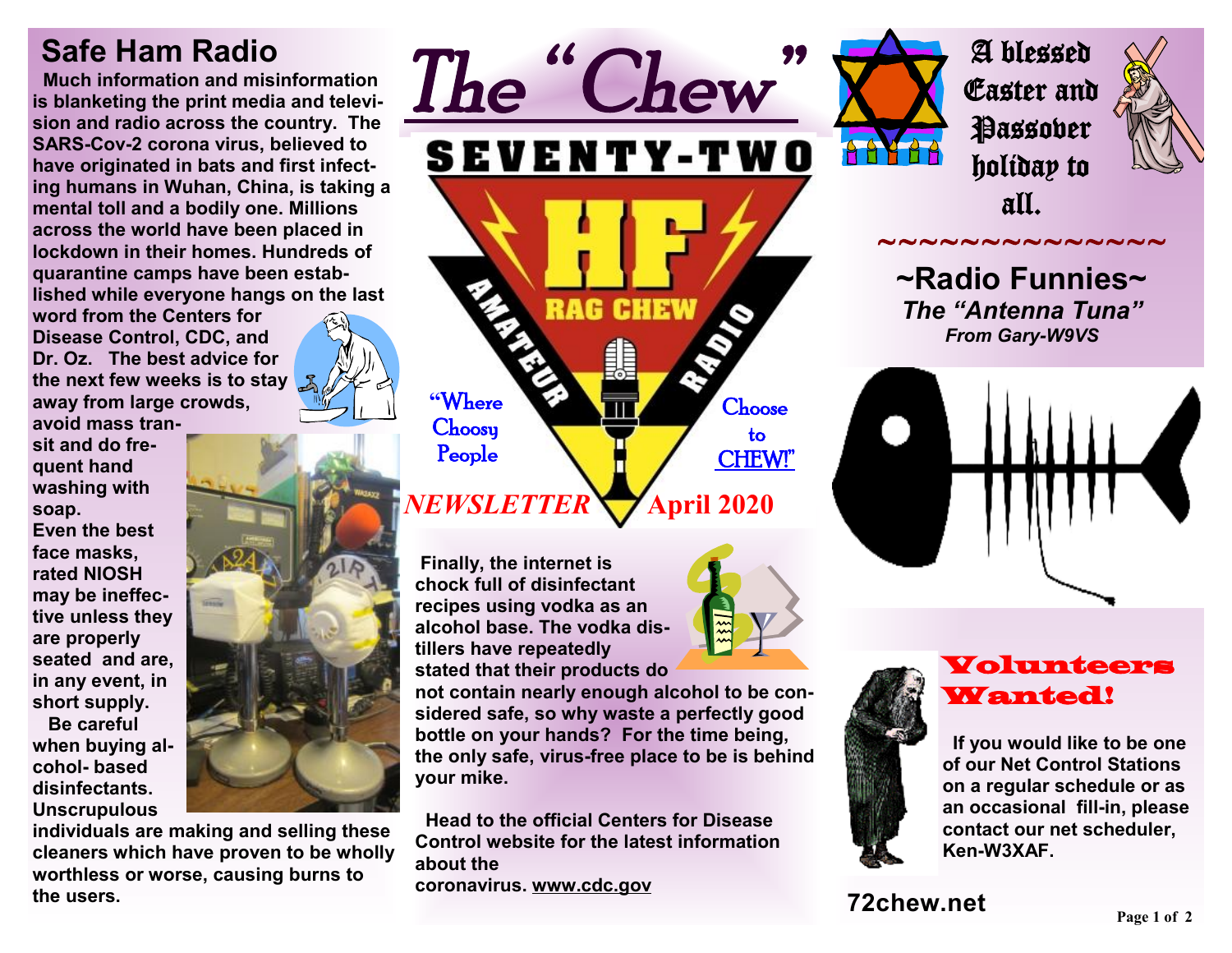## **Safe Ham Radio**

 **Much information and misinformation is blanketing the print media and television and radio across the country. The SARS-Cov-2 corona virus, believed to have originated in bats and first infecting humans in Wuhan, China, is taking a mental toll and a bodily one. Millions across the world have been placed in lockdown in their homes. Hundreds of quarantine camps have been established while everyone hangs on the last** 

**word from the Centers for Disease Control, CDC, and Dr. Oz. The best advice for the next few weeks is to stay away from large crowds,** 

**avoid mass transit and do frequent hand washing with soap. Even the best face masks, rated NIOSH may be ineffective unless they are properly seated and are, in any event, in short supply.** 

 **Be careful when buying alcohol- based disinfectants. Unscrupulous** 



**individuals are making and selling these cleaners which have proven to be wholly worthless or worse, causing burns to the users.** 



**Finally, the internet is chock full of disinfectant recipes using vodka as an alcohol base. The vodka distillers have repeatedly stated that their products do** 

**not contain nearly enough alcohol to be considered safe, so why waste a perfectly good bottle on your hands? For the time being, the only safe, virus-free place to be is behind your mike.** 

 **Head to the official Centers for Disease Control website for the latest information about the coronavirus. [www.cdc.gov](http://www.cdc.gov)**



A blessed Easter and **Passober** holiday to all.



~~~~~~~~~~~~~~

**~Radio Funnies~**  *The "Antenna Tuna" From Gary-W9VS* 





Volunteers Wanted!

 **If you would like to be one of our Net Control Stations on a regular schedule or as an occasional fill-in, please contact our net scheduler, Ken-W3XAF.**

**72chew.net**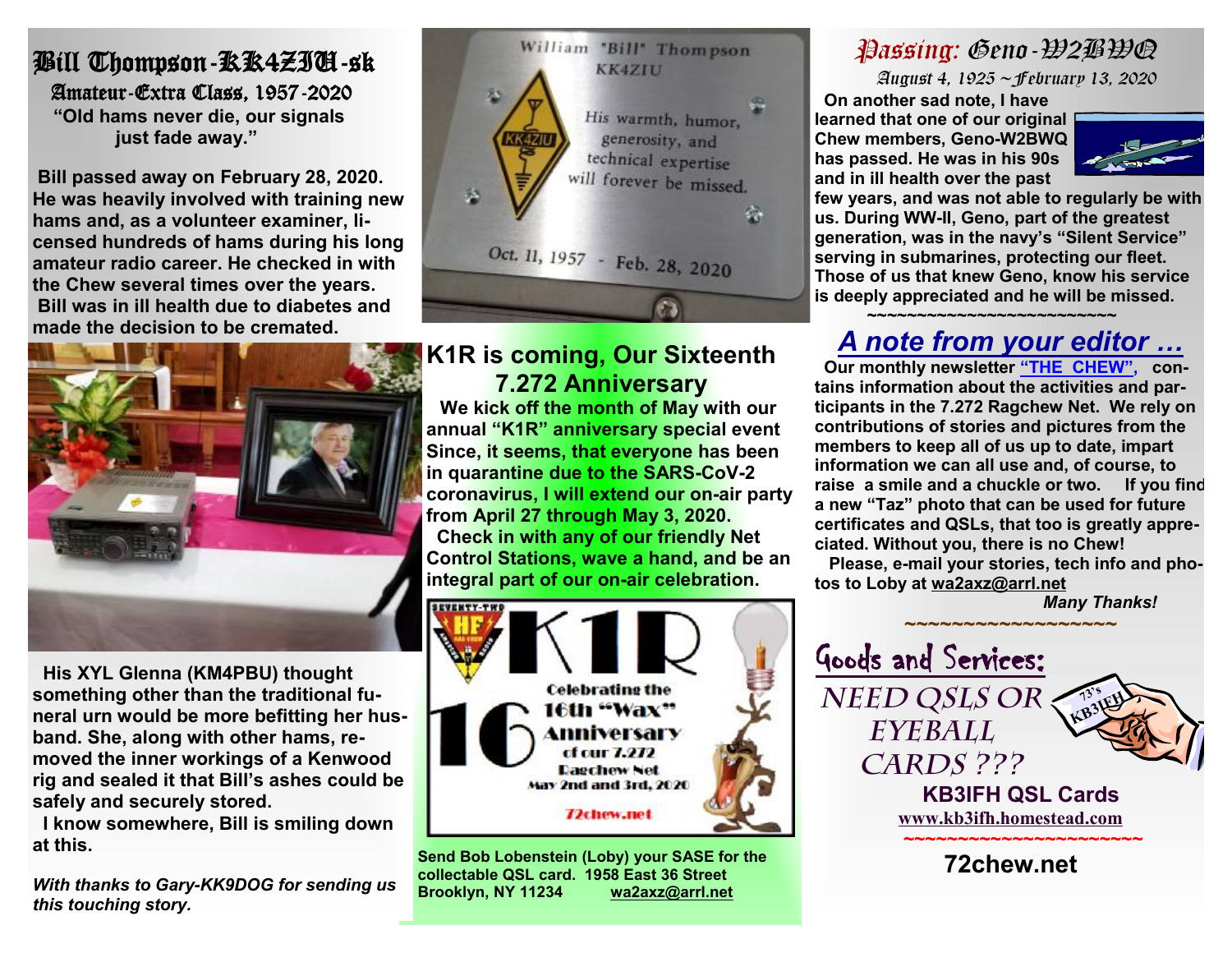#### i, Bill Thompson-KK4ZIU-sk Amateur-Extra Class, 1957-2020  **"Old hams never die, our signals just fade away."**

**Bill passed away on February 28, 2020. He was heavily involved with training new hams and, as a volunteer examiner, licensed hundreds of hams during his long amateur radio career. He checked in with the Chew several times over the years. Bill was in ill health due to diabetes and made the decision to be cremated.** 



 **His XYL Glenna (KM4PBU) thought something other than the traditional funeral urn would be more befitting her husband. She, along with other hams, removed the inner workings of a Kenwood rig and sealed it that Bill's ashes could be safely and securely stored.** 

 **I know somewhere, Bill is smiling down at this.** 

*With thanks to Gary-KK9DOG for sending us this touching story.* 



### **K1R is coming, Our Sixteenth 7.272 Anniversary**

 **We kick off the month of May with our annual "K1R" anniversary special event Since, it seems, that everyone has been in quarantine due to the SARS-CoV-2 coronavirus, I will extend our on-air party from April 27 through May 3, 2020. Check in with any of our friendly Net Control Stations, wave a hand, and be an integral part of our on-air celebration.** 

![](_page_1_Picture_9.jpeg)

**Send Bob Lobenstein (Loby) your SASE for the collectable QSL card. 1958 East 36 Street Brooklyn, NY 11234 [wa2axz@arrl.net](mailto:wa2axz@arrl.net)**

## *Passing: Geno-W2BWQ*

 *August 4, 1925 ~February 13, 2020*

**On another sad note, I have learned that one of our original Chew members, Geno-W2BWQ has passed. He was in his 90s and in ill health over the past** 

![](_page_1_Picture_14.jpeg)

**few years, and was not able to regularly be with us. During WW-II, Geno, part of the greatest generation, was in the navy's "Silent Service" serving in submarines, protecting our fleet. Those of us that knew Geno, know his service is deeply appreciated and he will be missed.** 

#### **~~~~~~~~~~~~~~~~~~~~~~~~~** *A note from your editor …*

**Our monthly newsletter "THE CHEW", contains information about the activities and participants in the 7.272 Ragchew Net. We rely on contributions of stories and pictures from the members to keep all of us up to date, impart information we can all use and, of course, to raise a smile and a chuckle or two. If you find a new "Taz" photo that can be used for future certificates and QSLs, that too is greatly appreciated. Without you, there is no Chew!** 

**Please, e-mail your stories, tech info and photos to Loby at [wa2axz@arrl.net](mailto:wa2axz@arrl.net)** 

*Many Thanks!* 

![](_page_1_Picture_20.jpeg)